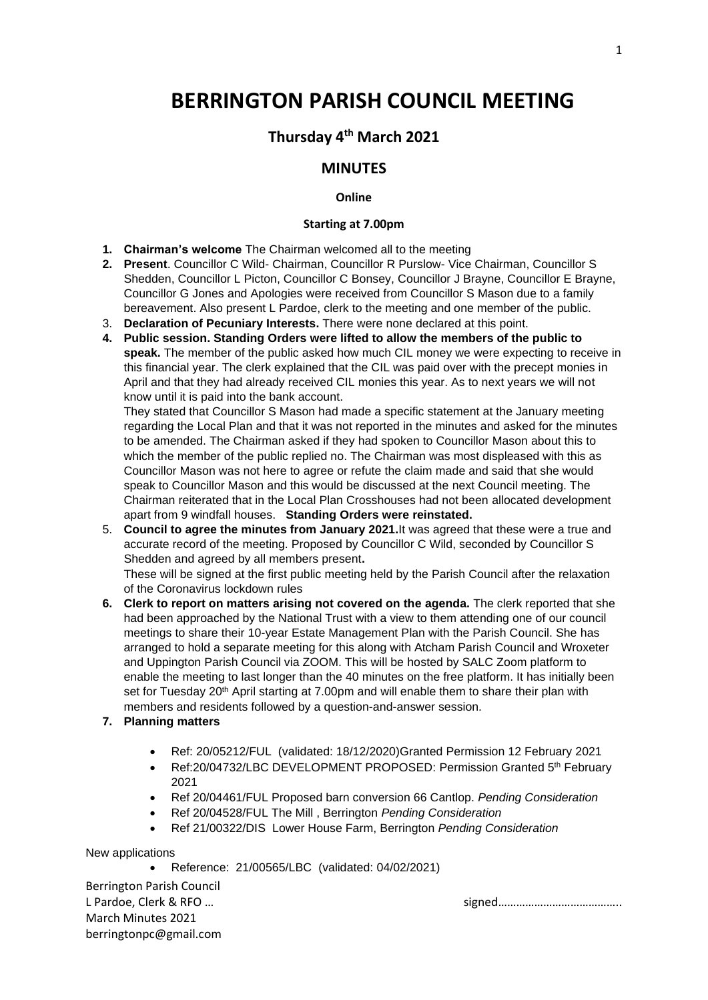# **BERRINGTON PARISH COUNCIL MEETING**

## **Thursday 4 th March 2021**

### **MINUTES**

#### **Online**

#### **Starting at 7.00pm**

- **1. Chairman's welcome** The Chairman welcomed all to the meeting
- **2. Present**. Councillor C Wild- Chairman, Councillor R Purslow- Vice Chairman, Councillor S Shedden, Councillor L Picton, Councillor C Bonsey, Councillor J Brayne, Councillor E Brayne, Councillor G Jones and Apologies were received from Councillor S Mason due to a family bereavement. Also present L Pardoe, clerk to the meeting and one member of the public.
- 3. **Declaration of Pecuniary Interests.** There were none declared at this point.
- **4. Public session. Standing Orders were lifted to allow the members of the public to speak.** The member of the public asked how much CIL money we were expecting to receive in this financial year. The clerk explained that the CIL was paid over with the precept monies in April and that they had already received CIL monies this year. As to next years we will not know until it is paid into the bank account.

They stated that Councillor S Mason had made a specific statement at the January meeting regarding the Local Plan and that it was not reported in the minutes and asked for the minutes to be amended. The Chairman asked if they had spoken to Councillor Mason about this to which the member of the public replied no. The Chairman was most displeased with this as Councillor Mason was not here to agree or refute the claim made and said that she would speak to Councillor Mason and this would be discussed at the next Council meeting. The Chairman reiterated that in the Local Plan Crosshouses had not been allocated development apart from 9 windfall houses. **Standing Orders were reinstated.**

5. **Council to agree the minutes from January 2021.**It was agreed that these were a true and accurate record of the meeting. Proposed by Councillor C Wild, seconded by Councillor S Shedden and agreed by all members present**.**

These will be signed at the first public meeting held by the Parish Council after the relaxation of the Coronavirus lockdown rules

**6. Clerk to report on matters arising not covered on the agenda.** The clerk reported that she had been approached by the National Trust with a view to them attending one of our council meetings to share their 10-year Estate Management Plan with the Parish Council. She has arranged to hold a separate meeting for this along with Atcham Parish Council and Wroxeter and Uppington Parish Council via ZOOM. This will be hosted by SALC Zoom platform to enable the meeting to last longer than the 40 minutes on the free platform. It has initially been set for Tuesday 20<sup>th</sup> April starting at 7.00pm and will enable them to share their plan with members and residents followed by a question-and-answer session.

#### **7. Planning matters**

- Ref: 20/05212/FUL (validated: 18/12/2020)Granted Permission 12 February 2021
- Ref:20/04732/LBC DEVELOPMENT PROPOSED: Permission Granted 5<sup>th</sup> February 2021
- Ref 20/04461/FUL Proposed barn conversion 66 Cantlop. *Pending Consideration*
- Ref 20/04528/FUL The Mill , Berrington *Pending Consideration*
- Ref 21/00322/DIS Lower House Farm, Berrington *Pending Consideration*

New applications

• Reference: 21/00565/LBC (validated: 04/02/2021)

Berrington Parish Council March Minutes 2021 berringtonpc@gmail.com

L Pardoe, Clerk & RFO ...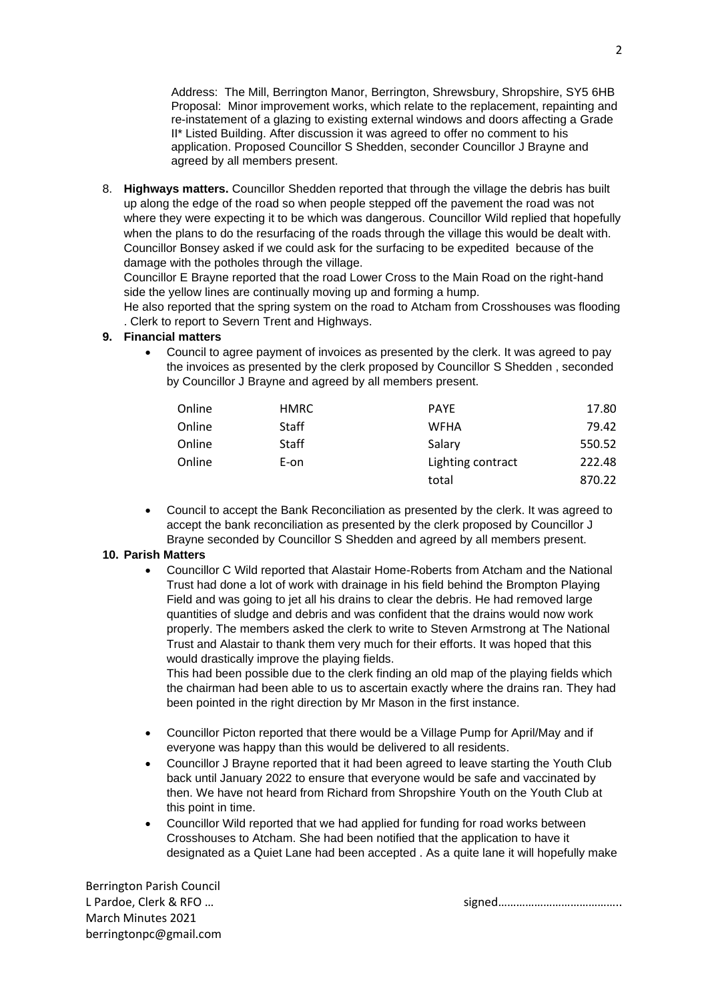Address: The Mill, Berrington Manor, Berrington, Shrewsbury, Shropshire, SY5 6HB Proposal: Minor improvement works, which relate to the replacement, repainting and re-instatement of a glazing to existing external windows and doors affecting a Grade II\* Listed Building. After discussion it was agreed to offer no comment to his application. Proposed Councillor S Shedden, seconder Councillor J Brayne and agreed by all members present.

8. **Highways matters.** Councillor Shedden reported that through the village the debris has built up along the edge of the road so when people stepped off the pavement the road was not where they were expecting it to be which was dangerous. Councillor Wild replied that hopefully when the plans to do the resurfacing of the roads through the village this would be dealt with. Councillor Bonsey asked if we could ask for the surfacing to be expedited because of the damage with the potholes through the village.

Councillor E Brayne reported that the road Lower Cross to the Main Road on the right-hand side the yellow lines are continually moving up and forming a hump.

He also reported that the spring system on the road to Atcham from Crosshouses was flooding . Clerk to report to Severn Trent and Highways.

#### **9. Financial matters**

• Council to agree payment of invoices as presented by the clerk. It was agreed to pay the invoices as presented by the clerk proposed by Councillor S Shedden , seconded by Councillor J Brayne and agreed by all members present.

| Online | HMRC  | <b>PAYE</b>       | 17.80  |
|--------|-------|-------------------|--------|
| Online | Staff | <b>WFHA</b>       | 79.42  |
| Online | Staff | Salary            | 550.52 |
| Online | E-on  | Lighting contract | 222.48 |
|        |       | total             | 870.22 |

• Council to accept the Bank Reconciliation as presented by the clerk. It was agreed to accept the bank reconciliation as presented by the clerk proposed by Councillor J Brayne seconded by Councillor S Shedden and agreed by all members present.

#### **10. Parish Matters**

• Councillor C Wild reported that Alastair Home-Roberts from Atcham and the National Trust had done a lot of work with drainage in his field behind the Brompton Playing Field and was going to jet all his drains to clear the debris. He had removed large quantities of sludge and debris and was confident that the drains would now work properly. The members asked the clerk to write to Steven Armstrong at The National Trust and Alastair to thank them very much for their efforts. It was hoped that this would drastically improve the playing fields.

This had been possible due to the clerk finding an old map of the playing fields which the chairman had been able to us to ascertain exactly where the drains ran. They had been pointed in the right direction by Mr Mason in the first instance.

- Councillor Picton reported that there would be a Village Pump for April/May and if everyone was happy than this would be delivered to all residents.
- Councillor J Brayne reported that it had been agreed to leave starting the Youth Club back until January 2022 to ensure that everyone would be safe and vaccinated by then. We have not heard from Richard from Shropshire Youth on the Youth Club at this point in time.
- Councillor Wild reported that we had applied for funding for road works between Crosshouses to Atcham. She had been notified that the application to have it designated as a Quiet Lane had been accepted . As a quite lane it will hopefully make

Berrington Parish Council March Minutes 2021 berringtonpc@gmail.com

L Pardoe, Clerk & RFO … signed…………………………………..